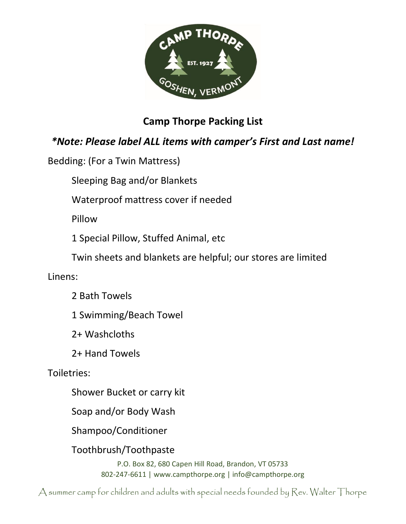

## **Camp Thorpe Packing List**

## *\*Note: Please label ALL items with camper's First and Last name!*

Bedding: (For a Twin Mattress)

Sleeping Bag and/or Blankets

Waterproof mattress cover if needed

Pillow

1 Special Pillow, Stuffed Animal, etc

Twin sheets and blankets are helpful; our stores are limited

Linens:

2 Bath Towels

1 Swimming/Beach Towel

2+ Washcloths

2+ Hand Towels

Toiletries:

Shower Bucket or carry kit

Soap and/or Body Wash

Shampoo/Conditioner

Toothbrush/Toothpaste

P.O. Box 82, 680 Capen Hill Road, Brandon, VT 05733 802-247-6611 | www.campthorpe.org | info@campthorpe.org

A summer camp for children and adults with special needs founded by Rev. Walter Thorpe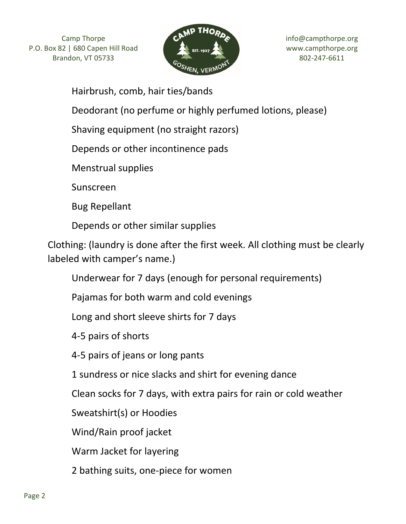

Hairbrush, comb, hair ties/bands

Deodorant (no perfume or highly perfumed lotions, please)

Shaving equipment (no straight razors)

Depends or other incontinence pads

Menstrual supplies

Sunscreen

Bug Repellant

Depends or other similar supplies

Clothing: (laundry is done after the first week. All clothing must be clearly labeled with camper's name.)

Underwear for 7 days (enough for personal requirements)

Pajamas for both warm and cold evenings

Long and short sleeve shirts for 7 days

4-5 pairs of shorts

4-5 pairs of jeans or long pants

1 sundress or nice slacks and shirt for evening dance

Clean socks for 7 days, with extra pairs for rain or cold weather

Sweatshirt(s) or Hoodies

Wind/Rain proof jacket

Warm Jacket for layering

2 bathing suits, one-piece for women